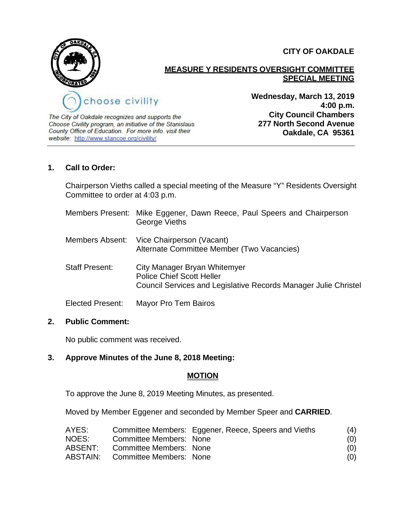

**CITY OF OAKDALE**

#### **MEASURE Y RESIDENTS OVERSIGHT COMMITTEE SPECIAL MEETING**

The City of Oakdale recognizes and supports the Choose Civility program, an initiative of the Stanislaus County Office of Education. For more info. visit their website: http://www.stancoe.org/civility/

**Wednesday, March 13, 2019 4:00 p.m. City Council Chambers 277 North Second Avenue Oakdale, CA 95361**

## **1. Call to Order:**

Chairperson Vieths called a special meeting of the Measure "Y" Residents Oversight Committee to order at 4:03 p.m.

|                       | Members Present: Mike Eggener, Dawn Reece, Paul Speers and Chairperson<br>George Vieths                                                    |
|-----------------------|--------------------------------------------------------------------------------------------------------------------------------------------|
|                       | Members Absent: Vice Chairperson (Vacant)<br>Alternate Committee Member (Two Vacancies)                                                    |
| <b>Staff Present:</b> | City Manager Bryan Whitemyer<br><b>Police Chief Scott Heller</b><br><b>Council Services and Legislative Records Manager Julie Christel</b> |
| Elected Present:      | Mayor Pro Tem Bairos                                                                                                                       |

## **2. Public Comment:**

No public comment was received.

## **3. Approve Minutes of the June 8, 2018 Meeting:**

## **MOTION**

To approve the June 8, 2019 Meeting Minutes, as presented.

Moved by Member Eggener and seconded by Member Speer and **CARRIED**.

| AYES:    |                         | Committee Members: Eggener, Reece, Speers and Vieths | (4) |
|----------|-------------------------|------------------------------------------------------|-----|
| NOES:    | Committee Members: None |                                                      | (0) |
| ABSENT:  | Committee Members: None |                                                      | (0) |
| ABSTAIN: | Committee Members: None |                                                      | (0) |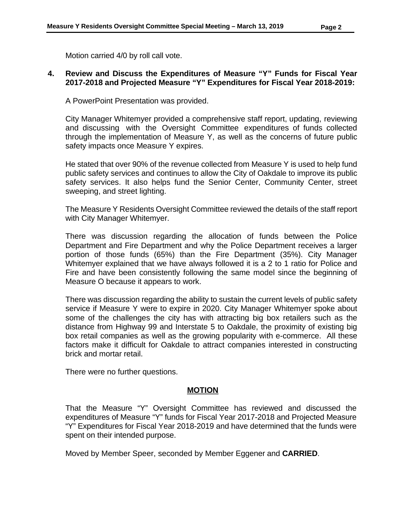Motion carried 4/0 by roll call vote.

## **4. Review and Discuss the Expenditures of Measure "Y" Funds for Fiscal Year 2017-2018 and Projected Measure "Y" Expenditures for Fiscal Year 2018-2019:**

A PowerPoint Presentation was provided.

City Manager Whitemyer provided a comprehensive staff report, updating, reviewing and discussing with the Oversight Committee expenditures of funds collected through the implementation of Measure Y, as well as the concerns of future public safety impacts once Measure Y expires.

He stated that over 90% of the revenue collected from Measure Y is used to help fund public safety services and continues to allow the City of Oakdale to improve its public safety services. It also helps fund the Senior Center, Community Center, street sweeping, and street lighting.

The Measure Y Residents Oversight Committee reviewed the details of the staff report with City Manager Whitemyer.

There was discussion regarding the allocation of funds between the Police Department and Fire Department and why the Police Department receives a larger portion of those funds (65%) than the Fire Department (35%). City Manager Whitemyer explained that we have always followed it is a 2 to 1 ratio for Police and Fire and have been consistently following the same model since the beginning of Measure O because it appears to work.

There was discussion regarding the ability to sustain the current levels of public safety service if Measure Y were to expire in 2020. City Manager Whitemyer spoke about some of the challenges the city has with attracting big box retailers such as the distance from Highway 99 and Interstate 5 to Oakdale, the proximity of existing big box retail companies as well as the growing popularity with e-commerce. All these factors make it difficult for Oakdale to attract companies interested in constructing brick and mortar retail.

There were no further questions.

#### **MOTION**

That the Measure "Y" Oversight Committee has reviewed and discussed the expenditures of Measure "Y" funds for Fiscal Year 2017-2018 and Projected Measure "Y" Expenditures for Fiscal Year 2018-2019 and have determined that the funds were spent on their intended purpose.

Moved by Member Speer, seconded by Member Eggener and **CARRIED**.